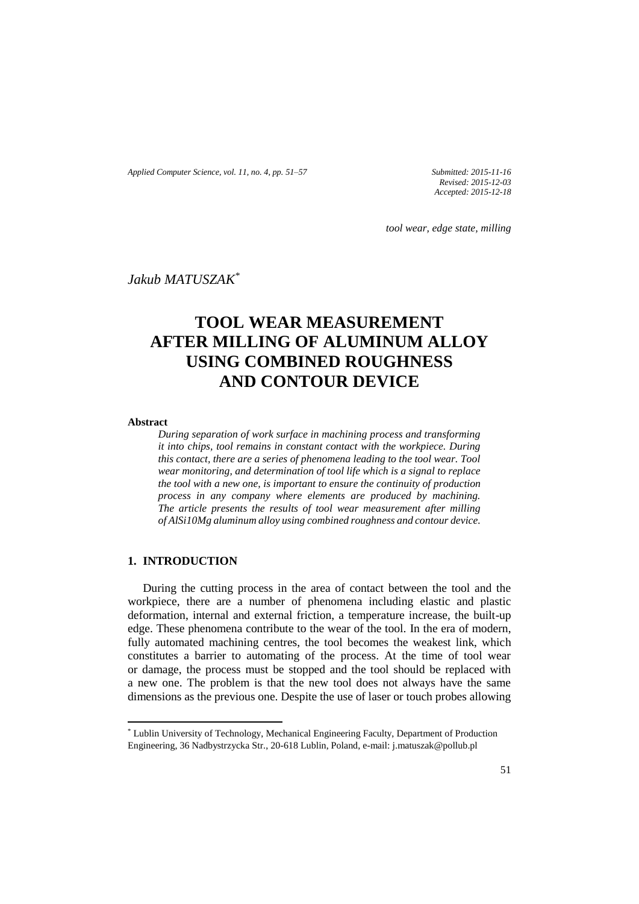*Applied Computer Science, vol. 11, no. 4, pp. 51–57 Submitted: 2015-11-16*

*Revised: 2015-12-03 Accepted: 2015-12-18*

*tool wear, edge state, milling*

*Jakub MATUSZAK\**

# **TOOL WEAR MEASUREMENT AFTER MILLING OF ALUMINUM ALLOY USING COMBINED ROUGHNESS AND CONTOUR DEVICE**

**Abstract**

 $\overline{\phantom{a}}$ 

*During separation of work surface in machining process and transforming it into chips, tool remains in constant contact with the workpiece. During this contact, there are a series of phenomena leading to the tool wear. Tool wear monitoring, and determination of tool life which is a signal to replace the tool with a new one, is important to ensure the continuity of production process in any company where elements are produced by machining. The article presents the results of tool wear measurement after milling of AlSi10Mg aluminum alloy using combined roughness and contour device.*

# **1. INTRODUCTION**

During the cutting process in the area of contact between the tool and the workpiece, there are a number of phenomena including elastic and plastic deformation, internal and external friction, a temperature increase, the built-up edge. These phenomena contribute to the wear of the tool. In the era of modern, fully automated machining centres, the tool becomes the weakest link, which constitutes a barrier to automating of the process. At the time of tool wear or damage, the process must be stopped and the tool should be replaced with a new one. The problem is that the new tool does not always have the same dimensions as the previous one. Despite the use of laser or touch probes allowing

<sup>\*</sup> Lublin University of Technology, Mechanical Engineering Faculty, Department of Production Engineering, 36 Nadbystrzycka Str., 20-618 Lublin, Poland, e-mail: j.matuszak@pollub.pl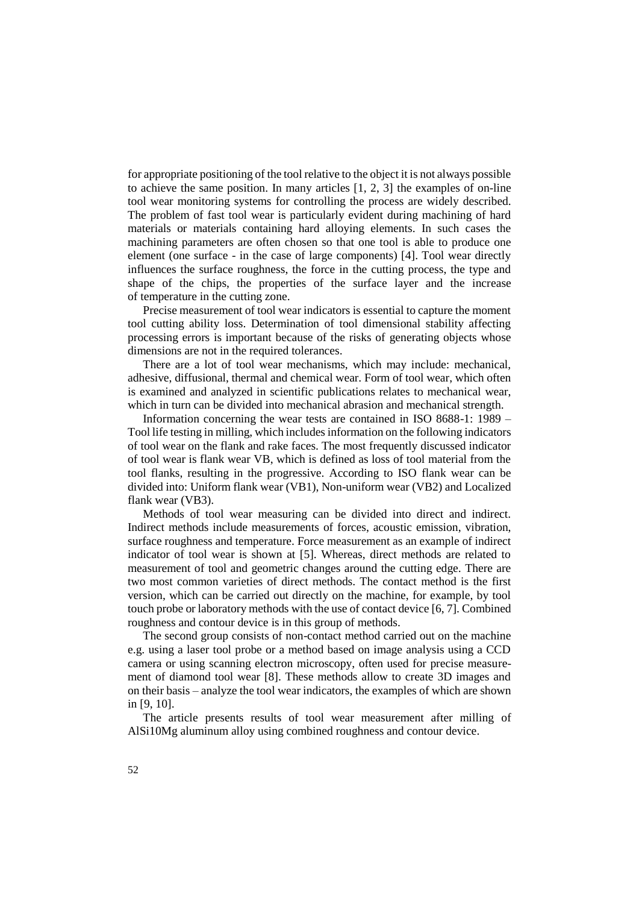for appropriate positioning of the tool relative to the object it is not always possible to achieve the same position. In many articles [1, 2, 3] the examples of on-line tool wear monitoring systems for controlling the process are widely described. The problem of fast tool wear is particularly evident during machining of hard materials or materials containing hard alloying elements. In such cases the machining parameters are often chosen so that one tool is able to produce one element (one surface - in the case of large components) [4]. Tool wear directly influences the surface roughness, the force in the cutting process, the type and shape of the chips, the properties of the surface layer and the increase of temperature in the cutting zone.

Precise measurement of tool wear indicators is essential to capture the moment tool cutting ability loss. Determination of tool dimensional stability affecting processing errors is important because of the risks of generating objects whose dimensions are not in the required tolerances.

There are a lot of tool wear mechanisms, which may include: mechanical, adhesive, diffusional, thermal and chemical wear. Form of tool wear, which often is examined and analyzed in scientific publications relates to mechanical wear, which in turn can be divided into mechanical abrasion and mechanical strength.

Information concerning the wear tests are contained in ISO 8688-1: 1989 – Tool life testing in milling, which includes information on the following indicators of tool wear on the flank and rake faces. The most frequently discussed indicator of tool wear is flank wear VB, which is defined as loss of tool material from the tool flanks, resulting in the progressive. According to ISO flank wear can be divided into: Uniform flank wear (VB1), Non-uniform wear (VB2) and Localized flank wear (VB3).

Methods of tool wear measuring can be divided into direct and indirect. Indirect methods include measurements of forces, acoustic emission, vibration, surface roughness and temperature. Force measurement as an example of indirect indicator of tool wear is shown at [5]. Whereas, direct methods are related to measurement of tool and geometric changes around the cutting edge. There are two most common varieties of direct methods. The contact method is the first version, which can be carried out directly on the machine, for example, by tool touch probe or laboratory methods with the use of contact device [6, 7]. Combined roughness and contour device is in this group of methods.

The second group consists of non-contact method carried out on the machine e.g. using a laser tool probe or a method based on image analysis using a CCD camera or using scanning electron microscopy, often used for precise measurement of diamond tool wear [8]. These methods allow to create 3D images and on their basis – analyze the tool wear indicators, the examples of which are shown in [9, 10].

The article presents results of tool wear measurement after milling of AlSi10Mg aluminum alloy using combined roughness and contour device.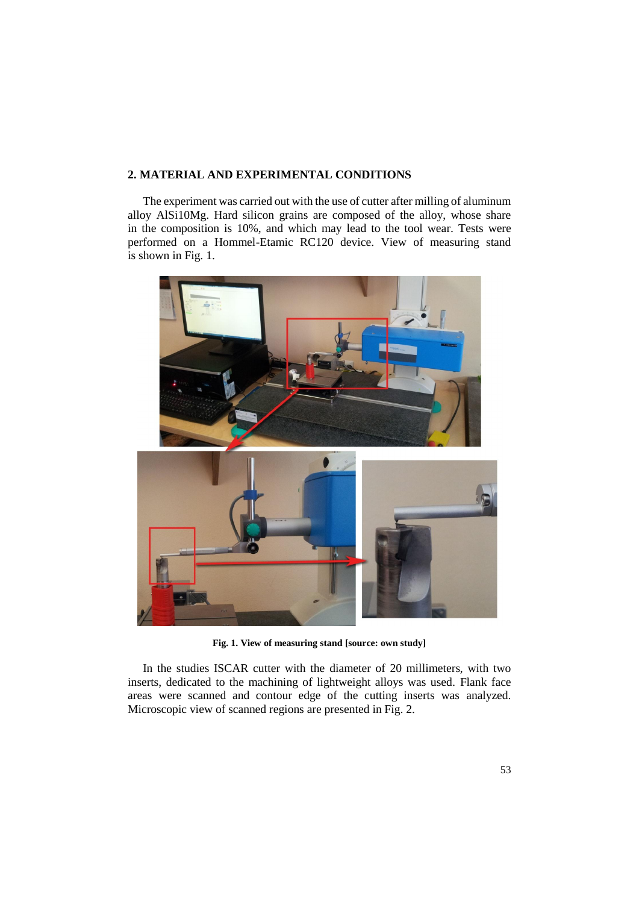# **2. MATERIAL AND EXPERIMENTAL CONDITIONS**

The experiment was carried out with the use of cutter after milling of aluminum alloy AlSi10Mg. Hard silicon grains are composed of the alloy, whose share in the composition is 10%, and which may lead to the tool wear. Tests were performed on a Hommel-Etamic RC120 device. View of measuring stand is shown in Fig. 1.



**Fig. 1. View of measuring stand [source: own study]**

In the studies ISCAR cutter with the diameter of 20 millimeters, with two inserts, dedicated to the machining of lightweight alloys was used. Flank face areas were scanned and contour edge of the cutting inserts was analyzed. Microscopic view of scanned regions are presented in Fig. 2.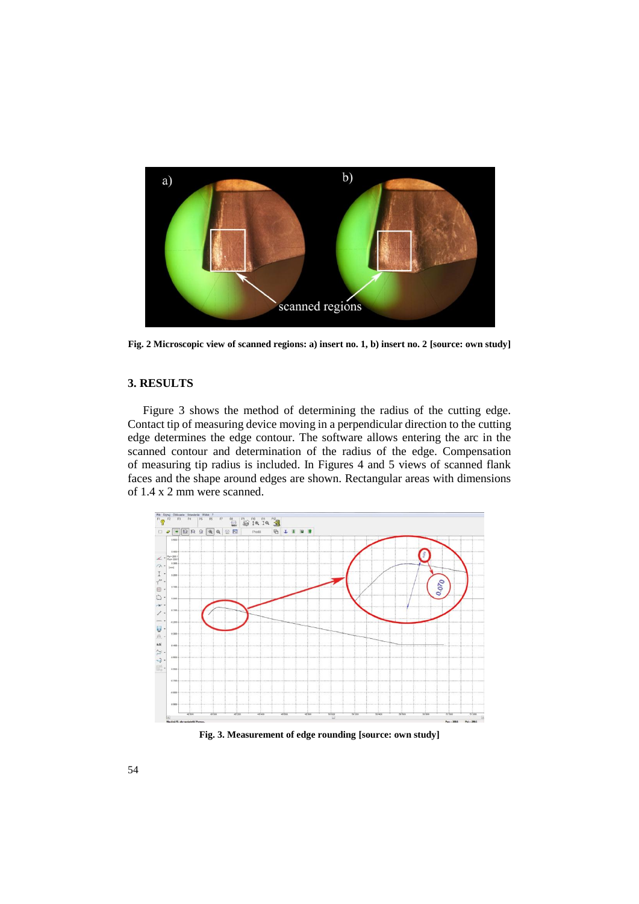

**Fig. 2 Microscopic view of scanned regions: a) insert no. 1, b) insert no. 2 [source: own study]**

### **3. RESULTS**

Figure 3 shows the method of determining the radius of the cutting edge. Contact tip of measuring device moving in a perpendicular direction to the cutting edge determines the edge contour. The software allows entering the arc in the scanned contour and determination of the radius of the edge. Compensation of measuring tip radius is included. In Figures 4 and 5 views of scanned flank faces and the shape around edges are shown. Rectangular areas with dimensions of 1.4 x 2 mm were scanned.



**Fig. 3. Measurement of edge rounding [source: own study]**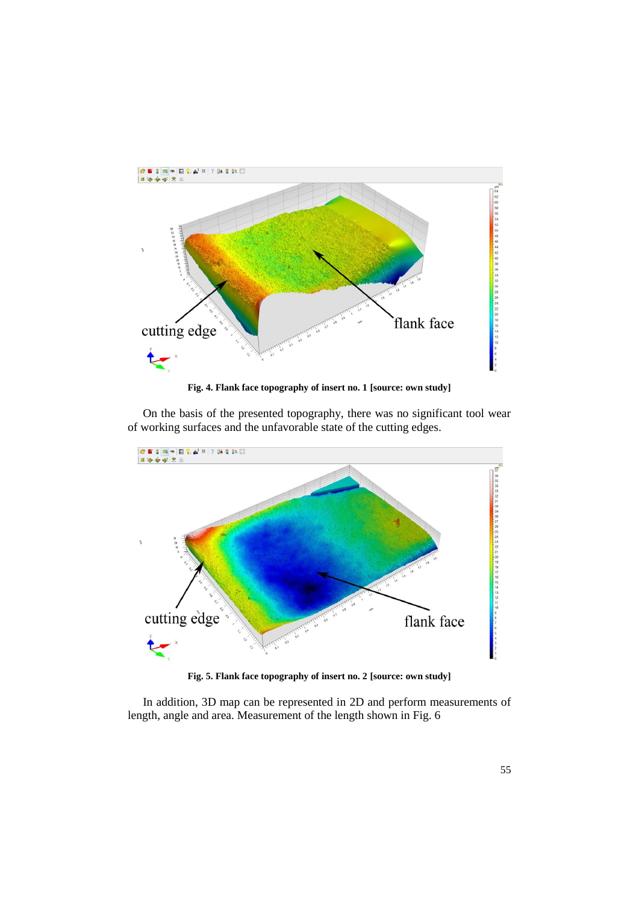

**Fig. 4. Flank face topography of insert no. 1 [source: own study]**

On the basis of the presented topography, there was no significant tool wear of working surfaces and the unfavorable state of the cutting edges.



**Fig. 5. Flank face topography of insert no. 2 [source: own study]**

In addition, 3D map can be represented in 2D and perform measurements of length, angle and area. Measurement of the length shown in Fig. 6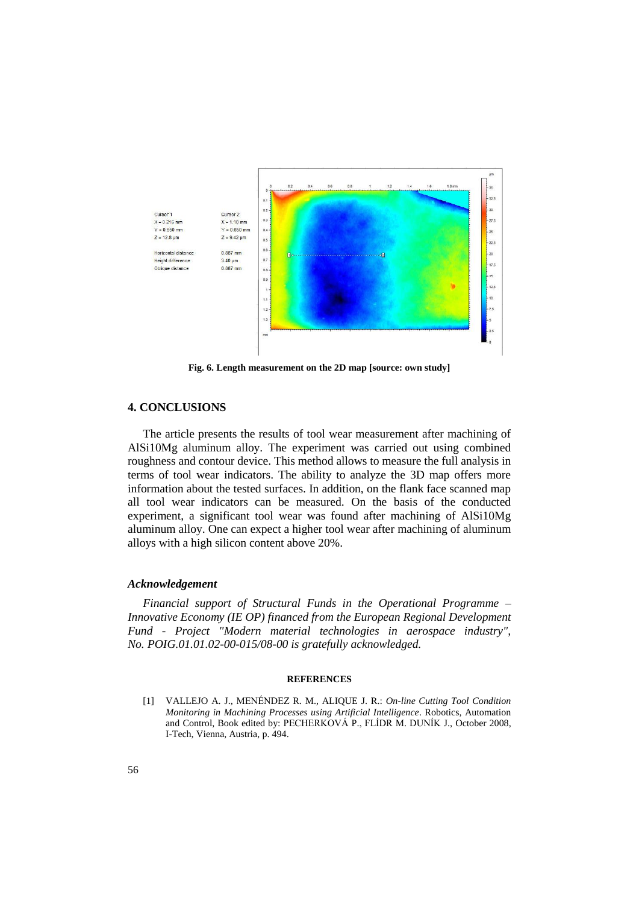

**Fig. 6. Length measurement on the 2D map [source: own study]**

## **4. CONCLUSIONS**

The article presents the results of tool wear measurement after machining of AlSi10Mg aluminum alloy. The experiment was carried out using combined roughness and contour device. This method allows to measure the full analysis in terms of tool wear indicators. The ability to analyze the 3D map offers more information about the tested surfaces. In addition, on the flank face scanned map all tool wear indicators can be measured. On the basis of the conducted experiment, a significant tool wear was found after machining of AlSi10Mg aluminum alloy. One can expect a higher tool wear after machining of aluminum alloys with a high silicon content above 20%.

#### *Acknowledgement*

*Financial support of Structural Funds in the Operational Programme – Innovative Economy (IE OP) financed from the European Regional Development Fund - Project "Modern material technologies in aerospace industry", No. POIG.01.01.02-00-015/08-00 is gratefully acknowledged.*

#### **REFERENCES**

[1] VALLEJO A. J., MENÉNDEZ R. M., ALIQUE J. R.: *On-line Cutting Tool Condition Monitoring in Machining Processes using Artificial Intelligence*. Robotics, Automation and Control, Book edited by: PECHERKOVÁ P., FLÍDR M. DUNÍK J., October 2008, I-Tech, Vienna, Austria, p. 494.